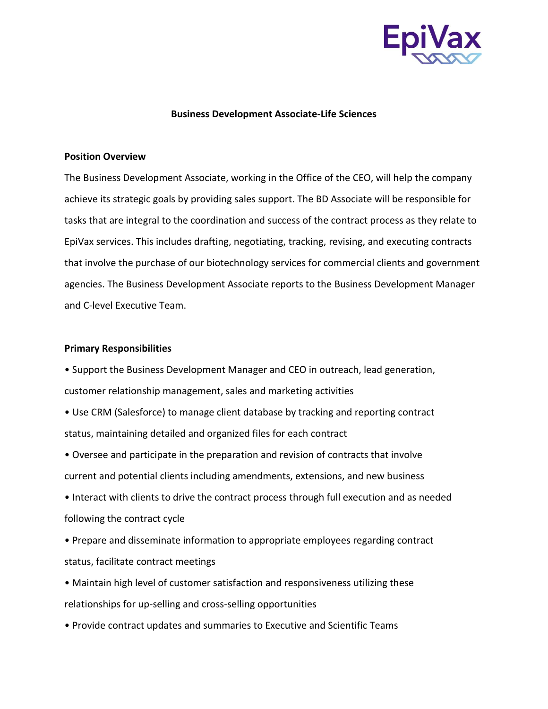

## **Business Development Associate-Life Sciences**

## **Position Overview**

The Business Development Associate, working in the Office of the CEO, will help the company achieve its strategic goals by providing sales support. The BD Associate will be responsible for tasks that are integral to the coordination and success of the contract process as they relate to EpiVax services. This includes drafting, negotiating, tracking, revising, and executing contracts that involve the purchase of our biotechnology services for commercial clients and government agencies. The Business Development Associate reports to the Business Development Manager and C-level Executive Team.

## **Primary Responsibilities**

• Support the Business Development Manager and CEO in outreach, lead generation, customer relationship management, sales and marketing activities

• Use CRM (Salesforce) to manage client database by tracking and reporting contract status, maintaining detailed and organized files for each contract

• Oversee and participate in the preparation and revision of contracts that involve current and potential clients including amendments, extensions, and new business

• Interact with clients to drive the contract process through full execution and as needed following the contract cycle

• Prepare and disseminate information to appropriate employees regarding contract status, facilitate contract meetings

• Maintain high level of customer satisfaction and responsiveness utilizing these relationships for up-selling and cross-selling opportunities

• Provide contract updates and summaries to Executive and Scientific Teams